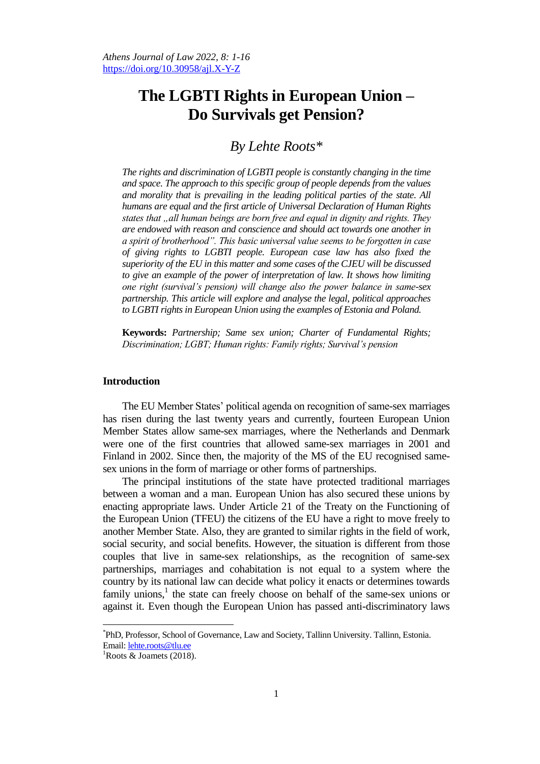# **The LGBTI Rights in European Union – Do Survivals get Pension?**

## *By Lehte Roots\**

*The rights and discrimination of LGBTI people is constantly changing in the time and space. The approach to this specific group of people depends from the values and morality that is prevailing in the leading political parties of the state. All humans are equal and the first article of Universal Declaration of Human Rights states that "all human beings are born free and equal in dignity and rights. They are endowed with reason and conscience and should act towards one another in a spirit of brotherhood". This basic universal value seems to be forgotten in case of giving rights to LGBTI people. European case law has also fixed the superiority of the EU in this matter and some cases of the CJEU will be discussed to give an example of the power of interpretation of law. It shows how limiting one right (survival's pension) will change also the power balance in same-sex partnership. This article will explore and analyse the legal, political approaches to LGBTI rights in European Union using the examples of Estonia and Poland.* 

**Keywords:** *Partnership; Same sex union; Charter of Fundamental Rights; Discrimination; LGBT; Human rights: Family rights; Survival's pension*

## **Introduction**

The EU Member States' political agenda on recognition of same-sex marriages has risen during the last twenty years and currently, fourteen European Union Member States allow same-sex marriages, where the Netherlands and Denmark were one of the first countries that allowed same-sex marriages in 2001 and Finland in 2002. Since then, the majority of the MS of the EU recognised samesex unions in the form of marriage or other forms of partnerships.

The principal institutions of the state have protected traditional marriages between a woman and a man. European Union has also secured these unions by enacting appropriate laws. Under Article 21 of the Treaty on the Functioning of the European Union (TFEU) the citizens of the EU have a right to move freely to another Member State. Also, they are granted to similar rights in the field of work, social security, and social benefits. However, the situation is different from those couples that live in same-sex relationships, as the recognition of same-sex partnerships, marriages and cohabitation is not equal to a system where the country by its national law can decide what policy it enacts or determines towards family unions, $<sup>1</sup>$  the state can freely choose on behalf of the same-sex unions or</sup> against it. Even though the European Union has passed anti-discriminatory laws

<sup>\*</sup> PhD, Professor, School of Governance, Law and Society, Tallinn University. Tallinn, Estonia. Email: [lehte.roots@tlu.ee](mailto:lehte.roots@tlu.ee)

<sup>&</sup>lt;sup>1</sup>Roots & Joamets (2018).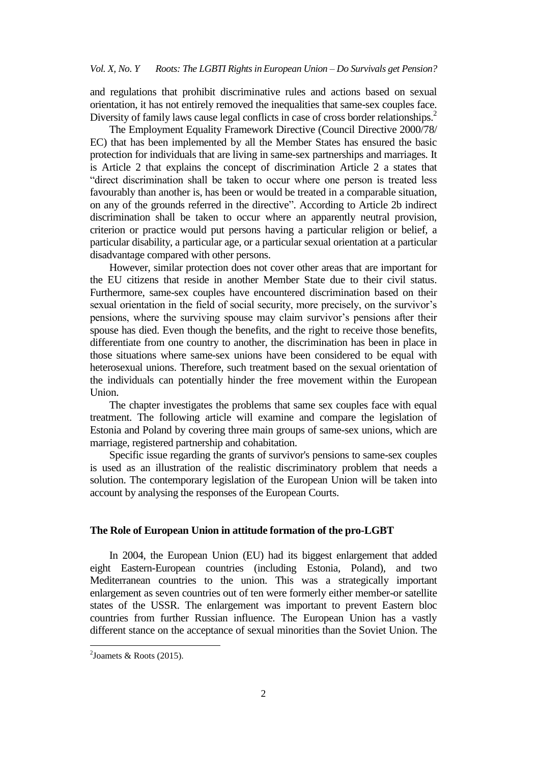and regulations that prohibit discriminative rules and actions based on sexual orientation, it has not entirely removed the inequalities that same-sex couples face. Diversity of family laws cause legal conflicts in case of cross border relationships.<sup>2</sup>

The Employment Equality Framework Directive (Council Directive 2000/78/ EC) that has been implemented by all the Member States has ensured the basic protection for individuals that are living in same-sex partnerships and marriages. It is Article 2 that explains the concept of discrimination Article 2 a states that "direct discrimination shall be taken to occur where one person is treated less favourably than another is, has been or would be treated in a comparable situation, on any of the grounds referred in the directive". According to Article 2b indirect discrimination shall be taken to occur where an apparently neutral provision, criterion or practice would put persons having a particular religion or belief, a particular disability, a particular age, or a particular sexual orientation at a particular disadvantage compared with other persons.

However, similar protection does not cover other areas that are important for the EU citizens that reside in another Member State due to their civil status. Furthermore, same-sex couples have encountered discrimination based on their sexual orientation in the field of social security, more precisely, on the survivor"s pensions, where the surviving spouse may claim survivor's pensions after their spouse has died. Even though the benefits, and the right to receive those benefits, differentiate from one country to another, the discrimination has been in place in those situations where same-sex unions have been considered to be equal with heterosexual unions. Therefore, such treatment based on the sexual orientation of the individuals can potentially hinder the free movement within the European Union.

The chapter investigates the problems that same sex couples face with equal treatment. The following article will examine and compare the legislation of Estonia and Poland by covering three main groups of same-sex unions, which are marriage, registered partnership and cohabitation.

Specific issue regarding the grants of survivor's pensions to same-sex couples is used as an illustration of the realistic discriminatory problem that needs a solution. The contemporary legislation of the European Union will be taken into account by analysing the responses of the European Courts.

## **The Role of European Union in attitude formation of the pro-LGBT**

In 2004, the European Union (EU) had its biggest enlargement that added eight Eastern-European countries (including Estonia, Poland), and two Mediterranean countries to the union. This was a strategically important enlargement as seven countries out of ten were formerly either member-or satellite states of the USSR. The enlargement was important to prevent Eastern bloc countries from further Russian influence. The European Union has a vastly different stance on the acceptance of sexual minorities than the Soviet Union. The

1

 $2$ Joamets & Roots (2015).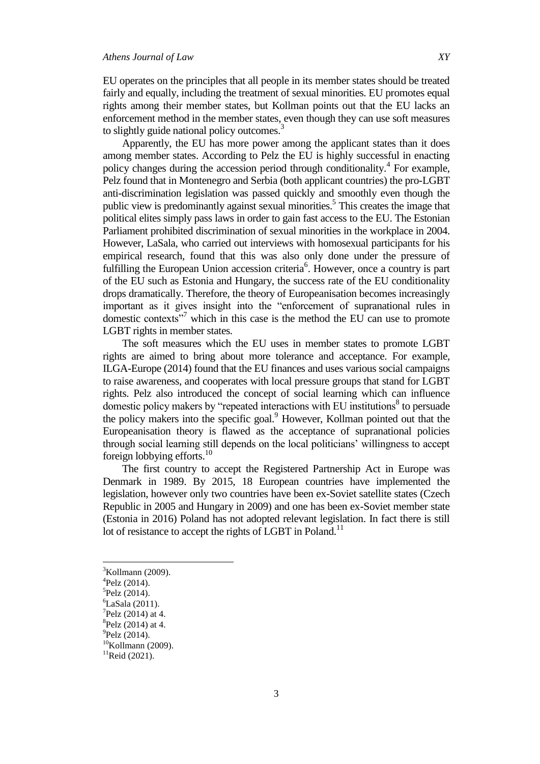EU operates on the principles that all people in its member states should be treated fairly and equally, including the treatment of sexual minorities. EU promotes equal rights among their member states, but Kollman points out that the EU lacks an enforcement method in the member states, even though they can use soft measures to slightly guide national policy outcomes.<sup>3</sup>

Apparently, the EU has more power among the applicant states than it does among member states. According to Pelz the EU is highly successful in enacting policy changes during the accession period through conditionality.<sup>4</sup> For example, Pelz found that in Montenegro and Serbia (both applicant countries) the pro-LGBT anti-discrimination legislation was passed quickly and smoothly even though the public view is predominantly against sexual minorities.<sup>5</sup> This creates the image that political elites simply pass laws in order to gain fast access to the EU. The Estonian Parliament prohibited discrimination of sexual minorities in the workplace in 2004. However, LaSala, who carried out interviews with homosexual participants for his empirical research, found that this was also only done under the pressure of fulfilling the European Union accession criteria<sup>6</sup>. However, once a country is part of the EU such as Estonia and Hungary, the success rate of the EU conditionality drops dramatically. Therefore, the theory of Europeanisation becomes increasingly important as it gives insight into the "enforcement of supranational rules in domestic contexts"<sup>7</sup> which in this case is the method the EU can use to promote LGBT rights in member states.

The soft measures which the EU uses in member states to promote LGBT rights are aimed to bring about more tolerance and acceptance. For example, ILGA-Europe (2014) found that the EU finances and uses various social campaigns to raise awareness, and cooperates with local pressure groups that stand for LGBT rights. Pelz also introduced the concept of social learning which can influence domestic policy makers by "repeated interactions with EU institutions<sup>8</sup> to persuade the policy makers into the specific goal.<sup>9</sup> However, Kollman pointed out that the Europeanisation theory is flawed as the acceptance of supranational policies through social learning still depends on the local politicians" willingness to accept foreign lobbying efforts.<sup>10</sup>

The first country to accept the Registered Partnership Act in Europe was Denmark in 1989. By 2015, 18 European countries have implemented the legislation, however only two countries have been ex-Soviet satellite states (Czech Republic in 2005 and Hungary in 2009) and one has been ex-Soviet member state (Estonia in 2016) Poland has not adopted relevant legislation. In fact there is still lot of resistance to accept the rights of LGBT in Poland.<sup>11</sup>

 ${}^{3}$ Kollmann (2009).

<sup>4</sup> Pelz (2014).

<sup>5</sup> Pelz (2014).

 ${}^{6}$ LaSala (2011).

 $7$ Pelz (2014) at 4.

 ${}^{8}$ Pelz (2014) at 4.

 $^{9}$ Pelz (2014).

 $10$ Kollmann (2009).

 $11$ Reid (2021).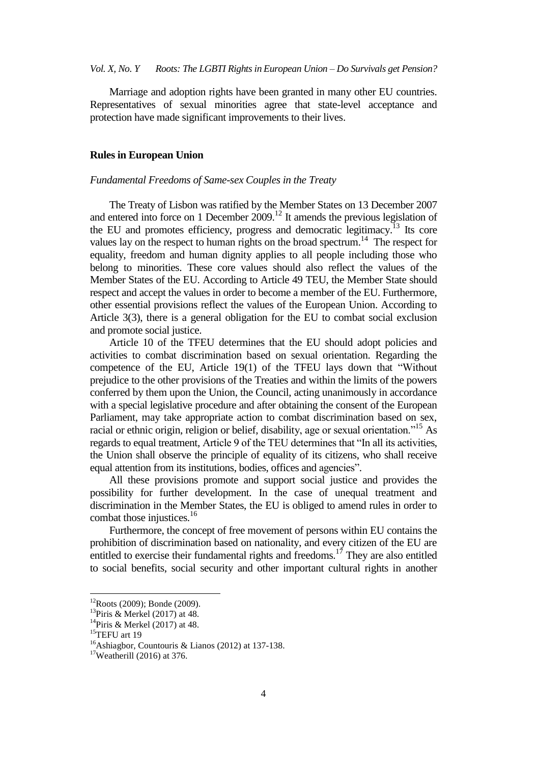Marriage and adoption rights have been granted in many other EU countries. Representatives of sexual minorities agree that state-level acceptance and protection have made significant improvements to their lives.

#### **Rules in European Union**

#### *Fundamental Freedoms of Same-sex Couples in the Treaty*

The Treaty of Lisbon was ratified by the Member States on 13 December 2007 and entered into force on 1 December 2009.<sup>12</sup> It amends the previous legislation of the EU and promotes efficiency, progress and democratic legitimacy.<sup>13</sup> Its core values lay on the respect to human rights on the broad spectrum.<sup>14</sup> The respect for equality, freedom and human dignity applies to all people including those who belong to minorities. These core values should also reflect the values of the Member States of the EU. According to Article 49 TEU, the Member State should respect and accept the values in order to become a member of the EU. Furthermore, other essential provisions reflect the values of the European Union. According to Article 3(3), there is a general obligation for the EU to combat social exclusion and promote social justice.

Article 10 of the TFEU determines that the EU should adopt policies and activities to combat discrimination based on sexual orientation. Regarding the competence of the EU, Article 19(1) of the TFEU lays down that "Without prejudice to the other provisions of the Treaties and within the limits of the powers conferred by them upon the Union, the Council, acting unanimously in accordance with a special legislative procedure and after obtaining the consent of the European Parliament, may take appropriate action to combat discrimination based on sex, racial or ethnic origin, religion or belief, disability, age or sexual orientation."<sup>15</sup> As regards to equal treatment, Article 9 of the TEU determines that "In all its activities, the Union shall observe the principle of equality of its citizens, who shall receive equal attention from its institutions, bodies, offices and agencies".

All these provisions promote and support social justice and provides the possibility for further development. In the case of unequal treatment and discrimination in the Member States, the EU is obliged to amend rules in order to combat those injustices.<sup>16</sup>

Furthermore, the concept of free movement of persons within EU contains the prohibition of discrimination based on nationality, and every citizen of the EU are entitled to exercise their fundamental rights and freedoms.<sup>17</sup> They are also entitled to social benefits, social security and other important cultural rights in another

 $12$ Roots (2009); Bonde (2009).

 $13$ Piris & Merkel (2017) at 48.

<sup>&</sup>lt;sup>14</sup>Piris & Merkel (2017) at 48.

 $15$ TEFU art 19

<sup>&</sup>lt;sup>16</sup>Ashiagbor, Countouris & Lianos (2012) at 137-138.

<sup>17</sup>Weatherill (2016) at 376.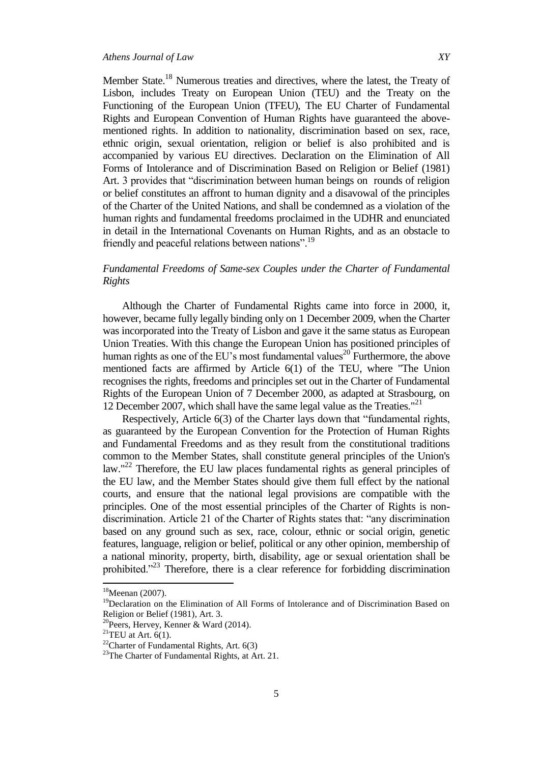Member State.<sup>18</sup> Numerous treaties and directives, where the latest, the Treaty of Lisbon, includes Treaty on European Union (TEU) and the Treaty on the Functioning of the European Union (TFEU), The EU Charter of Fundamental Rights and European Convention of Human Rights have guaranteed the abovementioned rights. In addition to nationality, discrimination based on sex, race, ethnic origin, sexual orientation, religion or belief is also prohibited and is accompanied by various EU directives. Declaration on the Elimination of All Forms of Intolerance and of Discrimination Based on Religion or Belief (1981) Art. 3 provides that "discrimination between human beings on rounds of religion or belief constitutes an affront to human dignity and a disavowal of the principles of the Charter of the United Nations, and shall be condemned as a violation of the human rights and fundamental freedoms proclaimed in the UDHR and enunciated in detail in the International Covenants on Human Rights, and as an obstacle to friendly and peaceful relations between nations".<sup>19</sup>

## *Fundamental Freedoms of Same-sex Couples under the Charter of Fundamental Rights*

Although the Charter of Fundamental Rights came into force in 2000, it, however, became fully legally binding only on 1 December 2009, when the Charter was incorporated into the Treaty of Lisbon and gave it the same status as European Union Treaties. With this change the European Union has positioned principles of human rights as one of the EU's most fundamental values<sup>20</sup> Furthermore, the above mentioned facts are affirmed by Article 6(1) of the TEU, where "The Union recognises the rights, freedoms and principles set out in the Charter of Fundamental Rights of the European Union of 7 December 2000, as adapted at Strasbourg, on 12 December 2007, which shall have the same legal value as the Treaties."<sup>21</sup>

Respectively, Article 6(3) of the Charter lays down that "fundamental rights, as guaranteed by the European Convention for the Protection of Human Rights and Fundamental Freedoms and as they result from the constitutional traditions common to the Member States, shall constitute general principles of the Union's law."<sup>22</sup> Therefore, the EU law places fundamental rights as general principles of the EU law, and the Member States should give them full effect by the national courts, and ensure that the national legal provisions are compatible with the principles. One of the most essential principles of the Charter of Rights is nondiscrimination. Article 21 of the Charter of Rights states that: "any discrimination based on any ground such as sex, race, colour, ethnic or social origin, genetic features, language, religion or belief, political or any other opinion, membership of a national minority, property, birth, disability, age or sexual orientation shall be prohibited. $123$  Therefore, there is a clear reference for forbidding discrimination

 $18$ Meenan (2007).

<sup>&</sup>lt;sup>19</sup>Declaration on the Elimination of All Forms of Intolerance and of Discrimination Based on Religion or Belief (1981), Art. 3.

<sup>20</sup>Peers, Hervey, Kenner & Ward (2014).

<sup>&</sup>lt;sup>21</sup>TEU at Art.  $6(1)$ .

<sup>&</sup>lt;sup>22</sup>Charter of Fundamental Rights, Art.  $6(3)$ 

<sup>&</sup>lt;sup>23</sup>The Charter of Fundamental Rights, at Art. 21.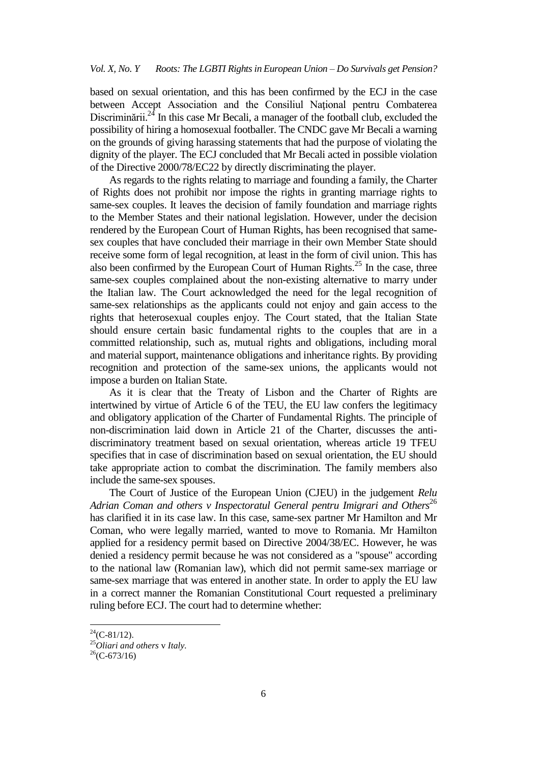#### *Vol. X, No. Y Roots: The LGBTI Rights in European Union – Do Survivals get Pension?*

based on sexual orientation, and this has been confirmed by the ECJ in the case between Accept Association and the Consiliul Naţional pentru Combaterea Discriminării.<sup>24</sup> In this case Mr Becali, a manager of the football club, excluded the possibility of hiring a homosexual footballer. The CNDC gave Mr Becali a warning on the grounds of giving harassing statements that had the purpose of violating the dignity of the player. The ECJ concluded that Mr Becali acted in possible violation of the Directive 2000/78/EC22 by directly discriminating the player.

As regards to the rights relating to marriage and founding a family, the Charter of Rights does not prohibit nor impose the rights in granting marriage rights to same-sex couples. It leaves the decision of family foundation and marriage rights to the Member States and their national legislation. However, under the decision rendered by the European Court of Human Rights, has been recognised that samesex couples that have concluded their marriage in their own Member State should receive some form of legal recognition, at least in the form of civil union. This has also been confirmed by the European Court of Human Rights.<sup>25</sup> In the case, three same-sex couples complained about the non-existing alternative to marry under the Italian law. The Court acknowledged the need for the legal recognition of same-sex relationships as the applicants could not enjoy and gain access to the rights that heterosexual couples enjoy. The Court stated, that the Italian State should ensure certain basic fundamental rights to the couples that are in a committed relationship, such as, mutual rights and obligations, including moral and material support, maintenance obligations and inheritance rights. By providing recognition and protection of the same-sex unions, the applicants would not impose a burden on Italian State.

As it is clear that the Treaty of Lisbon and the Charter of Rights are intertwined by virtue of Article 6 of the TEU, the EU law confers the legitimacy and obligatory application of the Charter of Fundamental Rights. The principle of non-discrimination laid down in Article 21 of the Charter, discusses the antidiscriminatory treatment based on sexual orientation, whereas article 19 TFEU specifies that in case of discrimination based on sexual orientation, the EU should take appropriate action to combat the discrimination. The family members also include the same-sex spouses.

The Court of Justice of the European Union (CJEU) in the judgement *Relu*  Adrian Coman and others *v* Inspectoratul General pentru Imigrari and Others<sup>26</sup> has clarified it in its case law. In this case, same-sex partner Mr Hamilton and Mr Coman, who were legally married, wanted to move to Romania. Mr Hamilton applied for a residency permit based on Directive 2004/38/EC. However, he was denied a residency permit because he was not considered as a "spouse" according to the national law (Romanian law), which did not permit same-sex marriage or same-sex marriage that was entered in another state. In order to apply the EU law in a correct manner the Romanian Constitutional Court requested a preliminary ruling before ECJ. The court had to determine whether:

 $^{24}$ (C-81/12).

<sup>25</sup>*Oliari and others* v *Italy.*

 $26$ (C-673/16)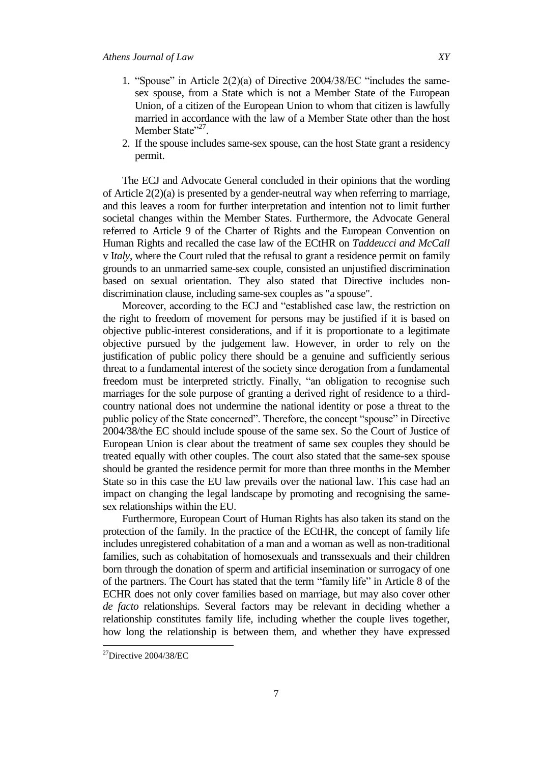- 1. "Spouse" in Article 2(2)(a) of Directive 2004/38/EC "includes the samesex spouse, from a State which is not a Member State of the European Union, of a citizen of the European Union to whom that citizen is lawfully married in accordance with the law of a Member State other than the host Member State"<sup>27</sup>.
- 2. If the spouse includes same-sex spouse, can the host State grant a residency permit.

The ECJ and Advocate General concluded in their opinions that the wording of Article 2(2)(a) is presented by a gender-neutral way when referring to marriage, and this leaves a room for further interpretation and intention not to limit further societal changes within the Member States. Furthermore, the Advocate General referred to Article 9 of the Charter of Rights and the European Convention on Human Rights and recalled the case law of the ECtHR on *Taddeucci and McCall* v I*taly*, where the Court ruled that the refusal to grant a residence permit on family grounds to an unmarried same-sex couple, consisted an unjustified discrimination based on sexual orientation. They also stated that Directive includes nondiscrimination clause, including same-sex couples as "a spouse".

Moreover, according to the ECJ and "established case law, the restriction on the right to freedom of movement for persons may be justified if it is based on objective public-interest considerations, and if it is proportionate to a legitimate objective pursued by the judgement law. However, in order to rely on the justification of public policy there should be a genuine and sufficiently serious threat to a fundamental interest of the society since derogation from a fundamental freedom must be interpreted strictly. Finally, "an obligation to recognise such marriages for the sole purpose of granting a derived right of residence to a thirdcountry national does not undermine the national identity or pose a threat to the public policy of the State concerned". Therefore, the concept "spouse" in Directive 2004/38/the EC should include spouse of the same sex. So the Court of Justice of European Union is clear about the treatment of same sex couples they should be treated equally with other couples. The court also stated that the same-sex spouse should be granted the residence permit for more than three months in the Member State so in this case the EU law prevails over the national law. This case had an impact on changing the legal landscape by promoting and recognising the samesex relationships within the EU.

Furthermore, European Court of Human Rights has also taken its stand on the protection of the family. In the practice of the ECtHR, the concept of family life includes unregistered cohabitation of a man and a woman as well as non-traditional families, such as cohabitation of homosexuals and transsexuals and their children born through the donation of sperm and artificial insemination or surrogacy of one of the partners. The Court has stated that the term "family life" in Article 8 of the ECHR does not only cover families based on marriage, but may also cover other *de facto* relationships. Several factors may be relevant in deciding whether a relationship constitutes family life, including whether the couple lives together, how long the relationship is between them, and whether they have expressed

 $^{27}$ Directive 2004/38/EC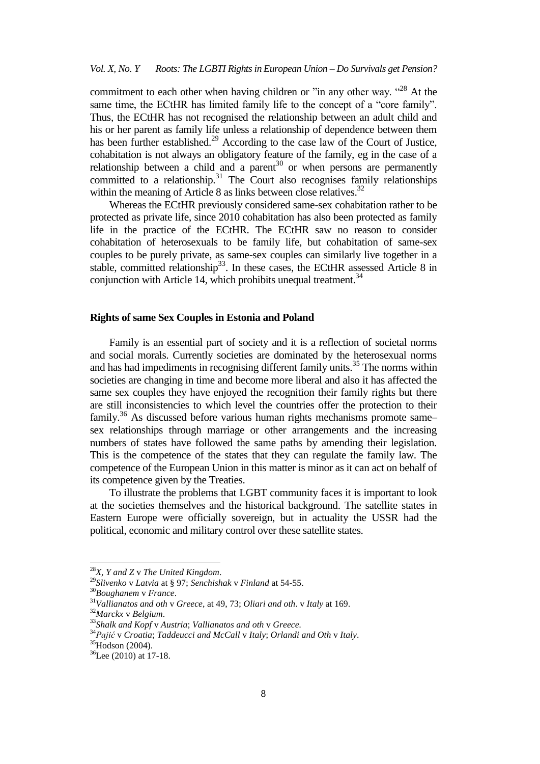commitment to each other when having children or "in any other way. "<sup>28</sup> At the same time, the ECtHR has limited family life to the concept of a "core family". Thus, the ECtHR has not recognised the relationship between an adult child and his or her parent as family life unless a relationship of dependence between them has been further established.<sup>29</sup> According to the case law of the Court of Justice, cohabitation is not always an obligatory feature of the family, eg in the case of a relationship between a child and a parent<sup>30</sup> or when persons are permanently committed to a relationship. $31$  The Court also recognises family relationships within the meaning of Article 8 as links between close relatives. $32$ 

Whereas the ECtHR previously considered same-sex cohabitation rather to be protected as private life, since 2010 cohabitation has also been protected as family life in the practice of the ECtHR. The ECtHR saw no reason to consider cohabitation of heterosexuals to be family life, but cohabitation of same-sex couples to be purely private, as same-sex couples can similarly live together in a stable, committed relationship<sup>33</sup>. In these cases, the ECtHR assessed Article 8 in conjunction with Article 14, which prohibits unequal treatment.<sup>34</sup>

## **Rights of same Sex Couples in Estonia and Poland**

Family is an essential part of society and it is a reflection of societal norms and social morals. Currently societies are dominated by the heterosexual norms and has had impediments in recognising different family units.<sup>35</sup> The norms within societies are changing in time and become more liberal and also it has affected the same sex couples they have enjoyed the recognition their family rights but there are still inconsistencies to which level the countries offer the protection to their family.<sup>36</sup> As discussed before various human rights mechanisms promote same– sex relationships through marriage or other arrangements and the increasing numbers of states have followed the same paths by amending their legislation. This is the competence of the states that they can regulate the family law. The competence of the European Union in this matter is minor as it can act on behalf of its competence given by the Treaties.

To illustrate the problems that LGBT community faces it is important to look at the societies themselves and the historical background. The satellite states in Eastern Europe were officially sovereign, but in actuality the USSR had the political, economic and military control over these satellite states.

<sup>28</sup>*X, Y and Z* v *The United Kingdom*.

<sup>29</sup>*Slivenko* v *Latvia* at § 97; *Senchishak* v *Finland* at 54-55.

<sup>30</sup>*Boughanem* v *France*.

<sup>31</sup>*Vallianatos and oth* v *Greece*, at 49, 73; *Oliari and oth*. v *Italy* at 169.

<sup>32</sup>*Marckx* v *Belgium*.

<sup>33</sup>*Shalk and Kopf* v *Austria*; *Vallianatos and oth* v *Greece.*

<sup>34</sup>*Pajić* v *Croatia*; *Taddeucci and McCall* v *Italy*; *Orlandi and Oth* v *Italy*.

 $35H$ odson (2004).

<sup>36</sup>Lee (2010) at 17-18.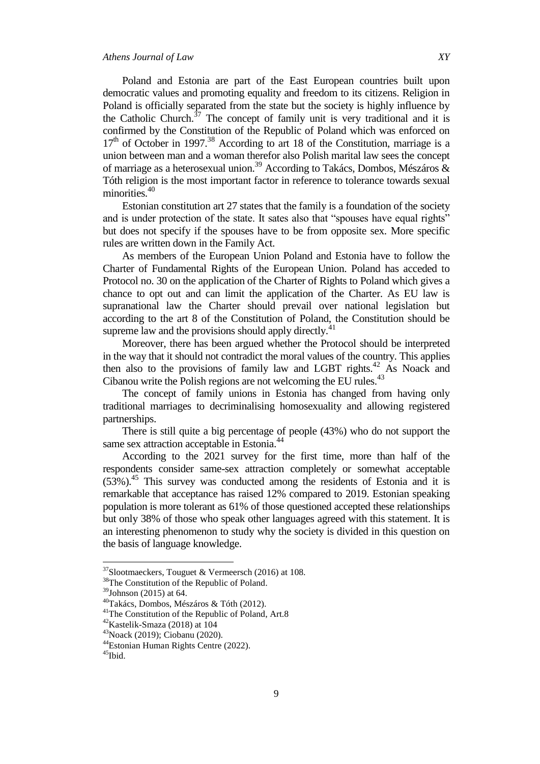Poland and Estonia are part of the East European countries built upon democratic values and promoting equality and freedom to its citizens. Religion in Poland is officially separated from the state but the society is highly influence by the Catholic Church.<sup>37</sup> The concept of family unit is very traditional and it is confirmed by the Constitution of the Republic of Poland which was enforced on  $17<sup>th</sup>$  of October in 1997.<sup>38</sup> According to art 18 of the Constitution, marriage is a union between man and a woman therefor also Polish marital law sees the concept of marriage as a heterosexual union.<sup>39</sup> According to Takács, Dombos, Mészáros & Tóth religion is the most important factor in reference to tolerance towards sexual minorities.<sup>40</sup>

Estonian constitution art 27 states that the family is a foundation of the society and is under protection of the state. It sates also that "spouses have equal rights" but does not specify if the spouses have to be from opposite sex. More specific rules are written down in the Family Act.

As members of the European Union Poland and Estonia have to follow the Charter of Fundamental Rights of the European Union. Poland has acceded to Protocol no. 30 on the application of the Charter of Rights to Poland which gives a chance to opt out and can limit the application of the Charter. As EU law is supranational law the Charter should prevail over national legislation but according to the art 8 of the Constitution of Poland, the Constitution should be supreme law and the provisions should apply directly.<sup>41</sup>

Moreover, there has been argued whether the Protocol should be interpreted in the way that it should not contradict the moral values of the country. This applies then also to the provisions of family law and LGBT rights. $^{42}$  As Noack and Cibanou write the Polish regions are not welcoming the EU rules.<sup>43</sup>

The concept of family unions in Estonia has changed from having only traditional marriages to decriminalising homosexuality and allowing registered partnerships.

There is still quite a big percentage of people (43%) who do not support the same sex attraction acceptable in Estonia.<sup>44</sup>

According to the 2021 survey for the first time, more than half of the respondents consider same-sex attraction completely or somewhat acceptable  $(53\%)$ .<sup>45</sup> This survey was conducted among the residents of Estonia and it is remarkable that acceptance has raised 12% compared to 2019. Estonian speaking population is more tolerant as 61% of those questioned accepted these relationships but only 38% of those who speak other languages agreed with this statement. It is an interesting phenomenon to study why the society is divided in this question on the basis of language knowledge.

 $37$ Slootmaeckers, Touguet & Vermeersch (2016) at 108.

<sup>38</sup>The Constitution of the Republic of Poland.

<sup>39</sup>Johnson (2015) at 64.

<sup>40</sup>Takács, Dombos, Mészáros & Tóth (2012).

<sup>&</sup>lt;sup>41</sup>The Constitution of the Republic of Poland, Art.8

 $42$ Kastelik-Smaza (2018) at 104

<sup>43</sup>Noack (2019); Ciobanu (2020).

<sup>44</sup>Estonian Human Rights Centre (2022).

<sup>&</sup>lt;sup>45</sup>Ibid.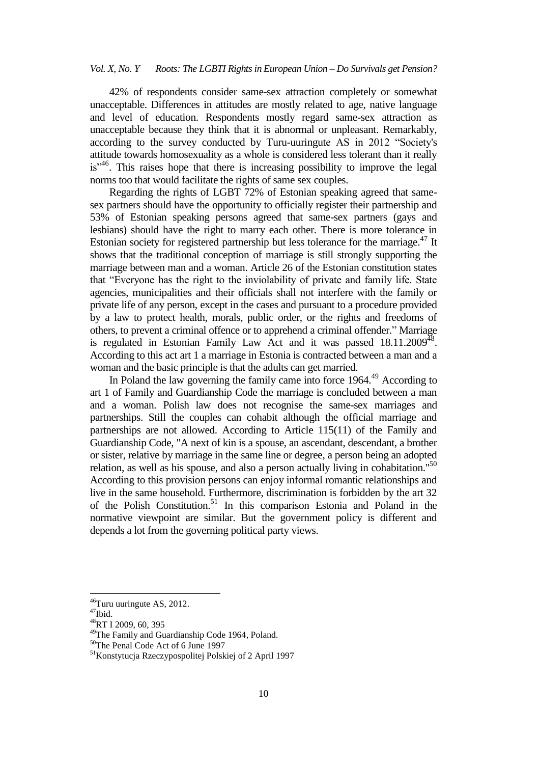#### *Vol. X, No. Y Roots: The LGBTI Rights in European Union – Do Survivals get Pension?*

42% of respondents consider same-sex attraction completely or somewhat unacceptable. Differences in attitudes are mostly related to age, native language and level of education. Respondents mostly regard same-sex attraction as unacceptable because they think that it is abnormal or unpleasant. Remarkably, according to the survey conducted by Turu-uuringute AS in 2012 "Society's attitude towards homosexuality as a whole is considered less tolerant than it really  $is''<sup>46</sup>$ . This raises hope that there is increasing possibility to improve the legal norms too that would facilitate the rights of same sex couples.

Regarding the rights of LGBT 72% of Estonian speaking agreed that samesex partners should have the opportunity to officially register their partnership and 53% of Estonian speaking persons agreed that same-sex partners (gays and lesbians) should have the right to marry each other. There is more tolerance in Estonian society for registered partnership but less tolerance for the marriage.<sup>47</sup> It shows that the traditional conception of marriage is still strongly supporting the marriage between man and a woman. Article 26 of the Estonian constitution states that "Everyone has the right to the inviolability of private and family life. State agencies, municipalities and their officials shall not interfere with the family or private life of any person, except in the cases and pursuant to a procedure provided by a law to protect health, morals, public order, or the rights and freedoms of others, to prevent a criminal offence or to apprehend a criminal offender." Marriage is regulated in Estonian Family Law Act and it was passed  $18.11.2009<sup>48</sup>$ . According to this act art 1 a marriage in Estonia is contracted between a man and a woman and the basic principle is that the adults can get married.

In Poland the law governing the family came into force 1964.<sup>49</sup> According to art 1 of Family and Guardianship Code the marriage is concluded between a man and a woman. Polish law does not recognise the same-sex marriages and partnerships. Still the couples can cohabit although the official marriage and partnerships are not allowed. According to Article 115(11) of the Family and Guardianship Code, "A next of kin is a spouse, an ascendant, descendant, a brother or sister, relative by marriage in the same line or degree, a person being an adopted relation, as well as his spouse, and also a person actually living in cohabitation."<sup>50</sup> According to this provision persons can enjoy informal romantic relationships and live in the same household. Furthermore, discrimination is forbidden by the art 32 of the Polish Constitution.<sup>51</sup> In this comparison Estonia and Poland in the normative viewpoint are similar. But the government policy is different and depends a lot from the governing political party views.

 $46$ Turu uuringute AS, 2012.

 $47$ Ibid.

<sup>48</sup>RT I 2009, 60, 395

<sup>&</sup>lt;sup>49</sup>The Family and Guardianship Code 1964, Poland.

<sup>50</sup>The Penal Code Act of 6 June 1997

<sup>51</sup>Konstytucja Rzeczypospolitej Polskiej of 2 April 1997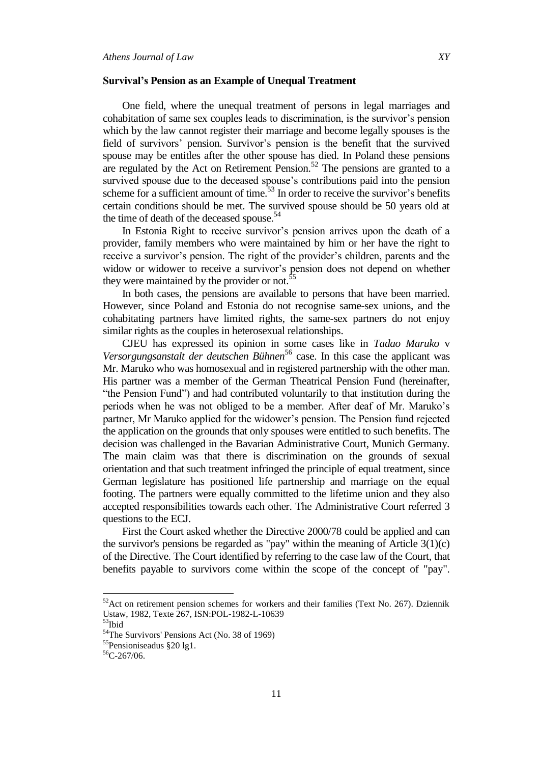#### **Survival's Pension as an Example of Unequal Treatment**

One field, where the unequal treatment of persons in legal marriages and cohabitation of same sex couples leads to discrimination, is the survivor"s pension which by the law cannot register their marriage and become legally spouses is the field of survivors' pension. Survivor's pension is the benefit that the survived spouse may be entitles after the other spouse has died. In Poland these pensions are regulated by the Act on Retirement Pension.<sup>52</sup> The pensions are granted to a survived spouse due to the deceased spouse's contributions paid into the pension scheme for a sufficient amount of time. $53$  In order to receive the survivor's benefits certain conditions should be met. The survived spouse should be 50 years old at the time of death of the deceased spouse.<sup>54</sup>

In Estonia Right to receive survivor's pension arrives upon the death of a provider, family members who were maintained by him or her have the right to receive a survivor's pension. The right of the provider's children, parents and the widow or widower to receive a survivor's pension does not depend on whether they were maintained by the provider or not.<sup>55</sup>

In both cases, the pensions are available to persons that have been married. However, since Poland and Estonia do not recognise same-sex unions, and the cohabitating partners have limited rights, the same-sex partners do not enjoy similar rights as the couples in heterosexual relationships.

CJEU has expressed its opinion in some cases like in *Tadao Maruko* v *Versorgungsanstalt der deutschen Bühnen*<sup>56</sup> case. In this case the applicant was Mr. Maruko who was homosexual and in registered partnership with the other man. His partner was a member of the German Theatrical Pension Fund (hereinafter, "the Pension Fund") and had contributed voluntarily to that institution during the periods when he was not obliged to be a member. After deaf of Mr. Maruko"s partner, Mr Maruko applied for the widower"s pension. The Pension fund rejected the application on the grounds that only spouses were entitled to such benefits. The decision was challenged in the Bavarian Administrative Court, Munich Germany. The main claim was that there is discrimination on the grounds of sexual orientation and that such treatment infringed the principle of equal treatment, since German legislature has positioned life partnership and marriage on the equal footing. The partners were equally committed to the lifetime union and they also accepted responsibilities towards each other. The Administrative Court referred 3 questions to the ECJ.

First the Court asked whether the Directive 2000/78 could be applied and can the survivor's pensions be regarded as "pay" within the meaning of Article  $3(1)(c)$ of the Directive. The Court identified by referring to the case law of the Court, that benefits payable to survivors come within the scope of the concept of "pay".

 $52$ Act on retirement pension schemes for workers and their families (Text No. 267). Dziennik Ustaw, 1982, Texte 267, ISN:POL-1982-L-10639

 $53$ Ibid

<sup>&</sup>lt;sup>54</sup>The Survivors' Pensions Act (No. 38 of 1969)

<sup>55</sup>Pensioniseadus §20 lg1.

 $56C-267/06$ .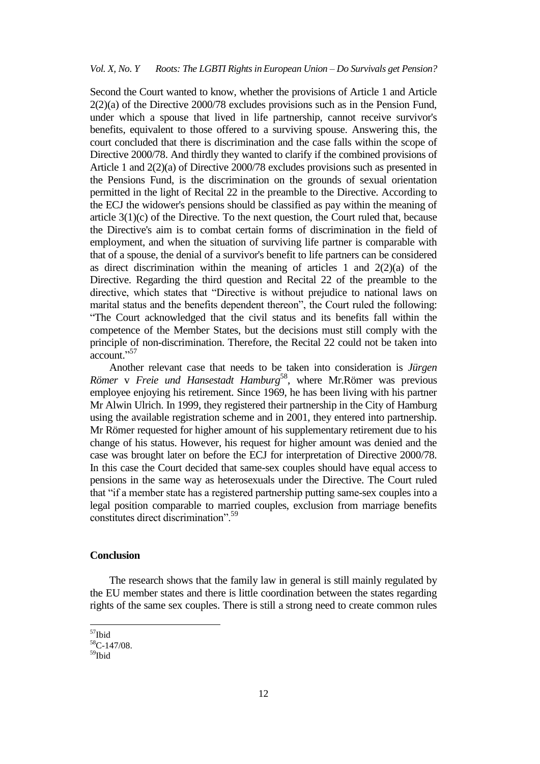Second the Court wanted to know, whether the provisions of Article 1 and Article 2(2)(a) of the Directive 2000/78 excludes provisions such as in the Pension Fund, under which a spouse that lived in life partnership, cannot receive survivor's benefits, equivalent to those offered to a surviving spouse. Answering this, the court concluded that there is discrimination and the case falls within the scope of Directive 2000/78. And thirdly they wanted to clarify if the combined provisions of Article 1 and 2(2)(a) of Directive 2000/78 excludes provisions such as presented in the Pensions Fund, is the discrimination on the grounds of sexual orientation permitted in the light of Recital 22 in the preamble to the Directive. According to the ECJ the widower's pensions should be classified as pay within the meaning of article 3(1)(c) of the Directive. To the next question, the Court ruled that, because the Directive's aim is to combat certain forms of discrimination in the field of employment, and when the situation of surviving life partner is comparable with that of a spouse, the denial of a survivor's benefit to life partners can be considered as direct discrimination within the meaning of articles 1 and  $2(2)(a)$  of the Directive. Regarding the third question and Recital 22 of the preamble to the directive, which states that "Directive is without prejudice to national laws on marital status and the benefits dependent thereon", the Court ruled the following: "The Court acknowledged that the civil status and its benefits fall within the competence of the Member States, but the decisions must still comply with the principle of non-discrimination. Therefore, the Recital 22 could not be taken into account."<sup>57</sup>

Another relevant case that needs to be taken into consideration is *Jürgen*  Römer v Freie und Hansestadt Hamburg<sup>58</sup>, where Mr.Römer was previous employee enjoying his retirement. Since 1969, he has been living with his partner Mr Alwin Ulrich. In 1999, they registered their partnership in the City of Hamburg using the available registration scheme and in 2001, they entered into partnership. Mr Römer requested for higher amount of his supplementary retirement due to his change of his status. However, his request for higher amount was denied and the case was brought later on before the ECJ for interpretation of Directive 2000/78. In this case the Court decided that same-sex couples should have equal access to pensions in the same way as heterosexuals under the Directive. The Court ruled that "if a member state has a registered partnership putting same-sex couples into a legal position comparable to married couples, exclusion from marriage benefits constitutes direct discrimination".<sup>59</sup>

## **Conclusion**

The research shows that the family law in general is still mainly regulated by the EU member states and there is little coordination between the states regarding rights of the same sex couples. There is still a strong need to create common rules

<sup>&</sup>lt;sup>57</sup>Ibid

<sup>58</sup>C-147/08.

<sup>59&</sup>lt;sub>Ibid</sub>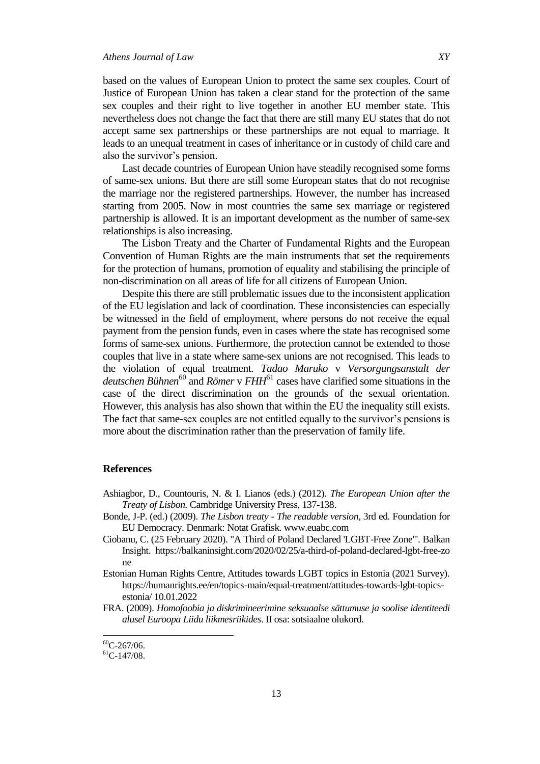based on the values of European Union to protect the same sex couples. Court of Justice of European Union has taken a clear stand for the protection of the same sex couples and their right to live together in another EU member state. This nevertheless does not change the fact that there are still many EU states that do not accept same sex partnerships or these partnerships are not equal to marriage. It leads to an unequal treatment in cases of inheritance or in custody of child care and also the survivor's pension.

Last decade countries of European Union have steadily recognised some forms of same-sex unions. But there are still some European states that do not recognise the marriage nor the registered partnerships. However, the number has increased starting from 2005. Now in most countries the same sex marriage or registered partnership is allowed. It is an important development as the number of same-sex relationships is also increasing.

The Lisbon Treaty and the Charter of Fundamental Rights and the European Convention of Human Rights are the main instruments that set the requirements for the protection of humans, promotion of equality and stabilising the principle of non-discrimination on all areas of life for all citizens of European Union.

Despite this there are still problematic issues due to the inconsistent application of the EU legislation and lack of coordination. These inconsistencies can especially be witnessed in the field of employment, where persons do not receive the equal payment from the pension funds, even in cases where the state has recognised some forms of same-sex unions. Furthermore, the protection cannot be extended to those couples that live in a state where same-sex unions are not recognised. This leads to the violation of equal treatment. *Tadao Maruko* v *Versorgungsanstalt der*  deutschen Bühnen<sup>60</sup> and *Römer* v FHH<sup>61</sup> cases have clarified some situations in the case of the direct discrimination on the grounds of the sexual orientation. However, this analysis has also shown that within the EU the inequality still exists. The fact that same-sex couples are not entitled equally to the survivor's pensions is more about the discrimination rather than the preservation of family life.

#### **References**

- Ashiagbor, D., Countouris, N. & I. Lianos (eds.) (2012). *The European Union after the Treaty of Lisbon.* Cambridge University Press, 137-138.
- Bonde, J-P. (ed.) (2009). *The Lisbon treaty - The readable version,* 3rd ed. Foundation for EU Democracy. Denmark: Notat Grafisk. www.euabc.com
- Ciobanu, C. (25 February 2020). "A Third of Poland Declared 'LGBT-Free Zone'". Balkan Insight. https://balkaninsight.com/2020/02/25/a-third-of-poland-declared-lgbt-free-zo ne
- Estonian Human Rights Centre, Attitudes towards LGBT topics in Estonia (2021 Survey). https://humanrights.ee/en/topics-main/equal-treatment/attitudes-towards-lgbt-topicsestonia/ 10.01.2022
- FRA. (2009). *Homofoobia ja diskrimineerimine seksuaalse sättumuse ja soolise identiteedi alusel Euroopa Liidu liikmesriikides*. II osa: sotsiaalne olukord.

 $\overline{\phantom{a}}$ 

 ${}^{60}$ C-267/06.

 ${}^{61}$ C-147/08.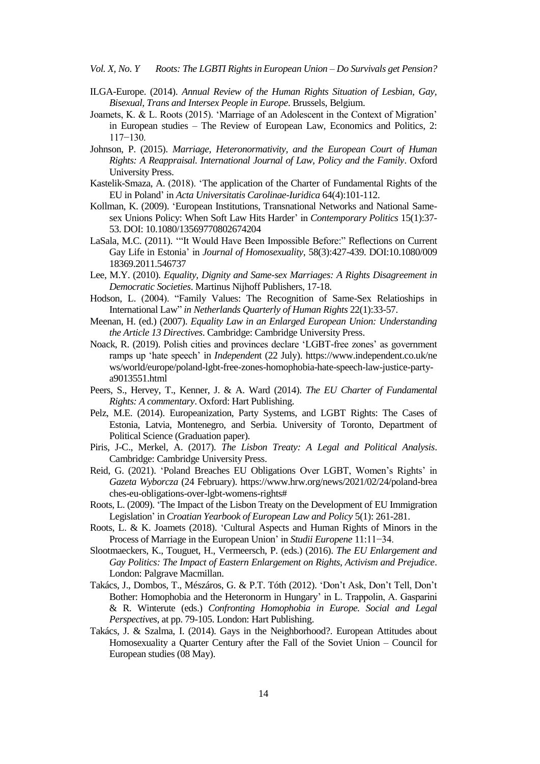*Vol. X, No. Y Roots: The LGBTI Rights in European Union – Do Survivals get Pension?*

- ILGA-Europe. (2014). *Annual Review of the Human Rights Situation of Lesbian, Gay, Bisexual, Trans and Intersex People in Europe*. Brussels, Belgium.
- Joamets, K. & L. Roots (2015). "Marriage of an Adolescent in the Context of Migration" in European studies – The Review of European Law, Economics and Politics, 2: 117−130.
- Johnson, P. (2015). *Marriage, Heteronormativity, and the European Court of Human Rights: A Reappraisal. International Journal of Law, Policy and the Family*. Oxford University Press.
- Kastelik-Smaza, A. (2018). "The application of the Charter of Fundamental Rights of the EU in Poland" in *Acta Universitatis Carolinae-Iuridica* 64(4):101-112.
- Kollman, K. (2009). "European Institutions, Transnational Networks and National Samesex Unions Policy: When Soft Law Hits Harder" in *Contemporary Politics* 15(1):37- 53. DOI: [10.1080/13569770802674204](https://doi.org/10.1080/13569770802674204)
- LaSala, M.C. (2011). ""It Would Have Been Impossible Before:" Reflections on Current Gay Life in Estonia" in *Journal of Homosexuality*, 58(3):427-439. DOI[:10.1080/009](http://dx.doi.org/10.1080/00918369.2011.546737) [18369.2011.546737](http://dx.doi.org/10.1080/00918369.2011.546737)
- Lee, M.Y. (2010). *Equality, Dignity and Same-sex Marriages: A Rights Disagreement in Democratic Societies*. Martinus Nijhoff Publishers, 17-18.
- Hodson, L. (2004). "Family Values: The Recognition of Same-Sex Relatioships in International Law" *in Netherlands Quarterly of Human Rights* 22(1):33-57.
- Meenan, H. (ed.) (2007). *Equality Law in an Enlarged European Union: Understanding the Article 13 Directives*. Cambridge: Cambridge University Press.
- Noack, R. (2019). Polish cities and provinces declare 'LGBT-free zones' as government ramps up "hate speech" in *Independen*t (22 July). https://www.independent.co.uk/ne ws/world/europe/poland-lgbt-free-zones-homophobia-hate-speech-law-justice-partya9013551.html
- Peers, S., Hervey, T., Kenner, J. & A. Ward (2014). *The EU Charter of Fundamental Rights: A commentary*. Oxford: Hart Publishing.
- Pelz, M.E. (2014). Europeanization, Party Systems, and LGBT Rights: The Cases of Estonia, Latvia, Montenegro, and Serbia. University of Toronto, Department of Political Science (Graduation paper).
- Piris, J-C., Merkel, A. (2017). *The Lisbon Treaty: A Legal and Political Analysis*. Cambridge: Cambridge University Press.
- Reid, G. (2021). "Poland Breaches EU Obligations Over LGBT, Women"s Rights" in *Gazeta Wyborcza* (24 February). https://www.hrw.org/news/2021/02/24/poland-brea ches-eu-obligations-over-lgbt-womens-rights#
- Roots, L. (2009). "The Impact of the Lisbon Treaty on the Development of EU Immigration Legislation" in *Croatian Yearbook of European Law and Policy* 5(1): 261-281.
- Roots, L. & K. Joamets (2018). "Cultural Aspects and Human Rights of Minors in the Process of Marriage in the European Union" in *Studii Europene* 11:11−34.
- Slootmaeckers, K., Touguet, H., Vermeersch, P. (eds.) (2016). *The EU Enlargement and Gay Politics: The Impact of Eastern Enlargement on Rights, Activism and Prejudice*. London: Palgrave Macmillan.
- Takács, J., Dombos, T., Mészáros, G. & P.T. Tóth (2012). "Don"t Ask, Don"t Tell, Don"t Bother: Homophobia and the Heteronorm in Hungary' in L. Trappolin, A. Gasparini & R. Winterute (eds.) *Confronting Homophobia in Europe. Social and Legal Perspectives*, at pp. 79-105. London: Hart Publishing.
- Takács, J. & Szalma, I. (2014). Gays in the Neighborhood?. European Attitudes about Homosexuality a Quarter Century after the Fall of the Soviet Union – Council for European studies (08 May).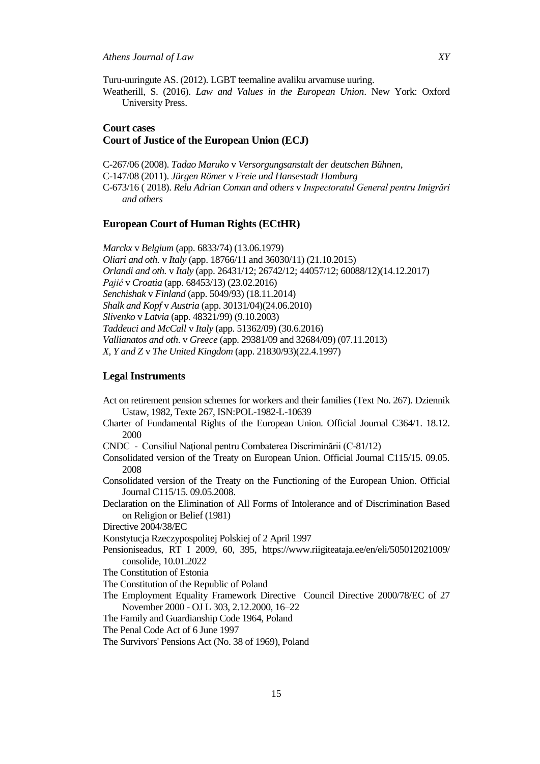Turu-uuringute AS. (2012). LGBT teemaline avaliku arvamuse uuring.

Weatherill, S. (2016). *Law and Values in the European Union*. New York: Oxford University Press.

## **Court cases Court of Justice of the European Union (ECJ)**

C-267/06 (2008). *Tadao Maruko* v *Versorgungsanstalt der deutschen Bühnen*, C-147/08 (2011). *Jürgen Römer* v *Freie und Hansestadt Hamburg* C-673/16 ( 2018). *Relu Adrian Coman and others* v *Inspectoratul General pentru Imigrări and others*

## **European Court of Human Rights (ECtHR)**

*Marckx* v *Belgium* (app. 6833/74) (13.06.1979) *Oliari and oth.* v *Italy* (app. 18766/11 and 36030/11) (21.10.2015) *Orlandi and oth.* v *Italy* (app. 26431/12; 26742/12; 44057/12; 60088/12)(14.12.2017) *Pajić* v *Croatia* (app. 68453/13) (23.02.2016) *Senchishak* v *Finland* (app. 5049/93) (18.11.2014) *Shalk and Kopf* v *Austria* (app. 30131/04)(24.06.2010) *Slivenko* v *Latvia* (app. 48321/99) (9.10.2003) *Taddeuci and McCall* v *Italy* (app. 51362/09) (30.6.2016) *Vallianatos and oth*. v *Greece* (app. 29381/09 and 32684/09) (07.11.2013) *X, Y and Z* v *The United Kingdom* (app. 21830/93)(22.4.1997)

#### **Legal Instruments**

- Act on retirement pension schemes for workers and their families (Text No. 267). Dziennik Ustaw, 1982, Texte 267, ISN:POL-1982-L-10639
- Charter of Fundamental Rights of the European Union. Official Journal C364/1. 18.12. 2000
- CNDC Consiliul Naţional pentru Combaterea Discriminării (C-81/12)
- Consolidated version of the Treaty on European Union. Official Journal C115/15. 09.05. 2008
- Consolidated version of the Treaty on the Functioning of the European Union. Official Journal C115/15. 09.05.2008.
- Declaration on the Elimination of All Forms of Intolerance and of Discrimination Based on Religion or Belief (1981)
- Directive 2004/38/EC

Konstytucja Rzeczypospolitej Polskiej of 2 April 1997

- Pensioniseadus, RT I 2009, 60, 395, https://www.riigiteataja.ee/en/eli/505012021009/ consolide, 10.01.2022
- The Constitution of Estonia
- The Constitution of the Republic of Poland
- The Employment Equality Framework Directive Council Directive 2000/78/EC of 27 November 2000 - OJ L 303, 2.12.2000, 16–22
- The Family and Guardianship Code 1964, Poland
- The Penal Code Act of 6 June 1997
- The Survivors' Pensions Act (No. 38 of 1969), Poland